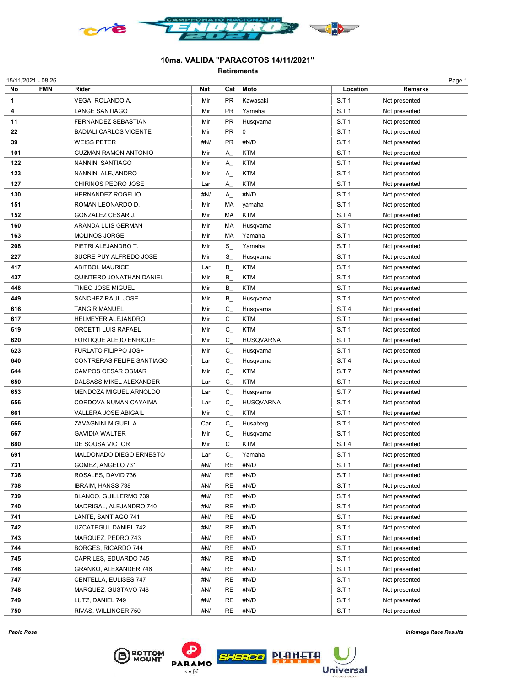

## 10ma. VALIDA "PARACOTOS 14/11/2021"

Retirements

| No  | <b>FMN</b> | Rider                         | Nat | Cat       | Moto             | Location | <b>Remarks</b> |
|-----|------------|-------------------------------|-----|-----------|------------------|----------|----------------|
| 1   |            | VEGA ROLANDO A.               | Mir | PR        | Kawasaki         | S.T.1    | Not presented  |
| 4   |            | <b>LANGE SANTIAGO</b>         | Mir | PR        | Yamaha           | S.T.1    | Not presented  |
| 11  |            | FERNANDEZ SEBASTIAN           | Mir | PR        | Husqvarna        | S.T.1    | Not presented  |
| 22  |            | <b>BADIALI CARLOS VICENTE</b> | Mir | PR        | 0                | S.T.1    | Not presented  |
| 39  |            | <b>WEISS PETER</b>            | #N/ | PR        | #N/D             | S.T.1    | Not presented  |
| 101 |            | <b>GUZMAN RAMON ANTONIO</b>   | Mir | Α         | <b>KTM</b>       | S.T.1    | Not presented  |
| 122 |            | NANNINI SANTIAGO              | Mir | Α         | <b>KTM</b>       | S.T.1    | Not presented  |
| 123 |            | NANNINI ALEJANDRO             | Mir | Α         | <b>KTM</b>       | S.T.1    | Not presented  |
| 127 |            | CHIRINOS PEDRO JOSE           | Lar | Α         | <b>KTM</b>       | S.T.1    | Not presented  |
| 130 |            | <b>HERNANDEZ ROGELIO</b>      | #N/ | Α         | #N/D             | S.T.1    | Not presented  |
| 151 |            | ROMAN LEONARDO D.             | Mir | MA        | yamaha           | S.T.1    | Not presented  |
| 152 |            | GONZALEZ CESAR J.             | Mir | MA        | <b>KTM</b>       | S.T.4    |                |
|     |            |                               |     | MA        |                  | S.T.1    | Not presented  |
| 160 |            | ARANDA LUIS GERMAN            | Mir |           | Husqvarna        |          | Not presented  |
| 163 |            | <b>MOLINOS JORGE</b>          | Mir | MA        | Yamaha           | S.T.1    | Not presented  |
| 208 |            | PIETRI ALEJANDRO T.           | Mir | S         | Yamaha           | S.T.1    | Not presented  |
| 227 |            | SUCRE PUY ALFREDO JOSE        | Mir | S         | Husqvarna        | S.T.1    | Not presented  |
| 417 |            | <b>ABITBOL MAURICE</b>        | Lar | В         | <b>KTM</b>       | S.T.1    | Not presented  |
| 437 |            | QUINTERO JONATHAN DANIEL      | Mir | В         | <b>KTM</b>       | S.T.1    | Not presented  |
| 448 |            | TINEO JOSE MIGUEL             | Mir | В         | <b>KTM</b>       | S.T.1    | Not presented  |
| 449 |            | SANCHEZ RAUL JOSE             | Mir | В         | Husqvarna        | S.T.1    | Not presented  |
| 616 |            | <b>TANGIR MANUEL</b>          | Mir | С         | Husqvarna        | S.T.4    | Not presented  |
| 617 |            | <b>HELMEYER ALEJANDRO</b>     | Mir | С         | <b>KTM</b>       | S.T.1    | Not presented  |
| 619 |            | ORCETTI LUIS RAFAEL           | Mir | С         | <b>KTM</b>       | S.T.1    | Not presented  |
| 620 |            | FORTIQUE ALEJO ENRIQUE        | Mir | С         | <b>HUSQVARNA</b> | S.T.1    | Not presented  |
| 623 |            | FURLATO FILIPPO JOS+          | Mir | С         | Husqvarna        | S.T.1    | Not presented  |
| 640 |            | CONTRERAS FELIPE SANTIAGO     | Lar | С         | Husqvarna        | S.T.4    | Not presented  |
| 644 |            | CAMPOS CESAR OSMAR            | Mir | С         | <b>KTM</b>       | S.T.7    | Not presented  |
| 650 |            | DALSASS MIKEL ALEXANDER       | Lar | С         | <b>KTM</b>       | S.T.1    | Not presented  |
| 653 |            | MENDOZA MIGUEL ARNOLDO        | Lar | C         | Husqvarna        | S.T.7    | Not presented  |
| 656 |            | CORDOVA NUMAN CAYAIMA         | Lar | С         | <b>HUSQVARNA</b> | S.T.1    | Not presented  |
| 661 |            | <b>VALLERA JOSE ABIGAIL</b>   | Mir | С         | <b>KTM</b>       | S.T.1    | Not presented  |
| 666 |            | ZAVAGNINI MIGUEL A.           | Car | C         | Husaberg         | S.T.1    | Not presented  |
| 667 |            | <b>GAVIDIA WALTER</b>         | Mir | С         | Husqvarna        | S.T.1    | Not presented  |
| 680 |            | DE SOUSA VICTOR               | Mir | С         | <b>KTM</b>       | S.T.4    | Not presented  |
| 691 |            | MALDONADO DIEGO ERNESTO       | Lar | С         | Yamaha           | S.T.1    | Not presented  |
| 731 |            | GOMEZ, ANGELO 731             | #N/ | <b>RE</b> | #N/D             | S.T.1    | Not presented  |
| 736 |            | ROSALES, DAVID 736            | #N/ | RE        | #N/D             | S.T.1    | Not presented  |
| 738 |            | <b>IBRAIM, HANSS 738</b>      | #N/ | <b>RE</b> | #N/D             | S.T.1    | Not presented  |
| 739 |            | BLANCO, GUILLERMO 739         | #N/ | <b>RE</b> | #N/D             | S.T.1    | Not presented  |
| 740 |            | MADRIGAL, ALEJANDRO 740       | #N/ | <b>RE</b> | #N/D             | S.T.1    | Not presented  |
| 741 |            | LANTE, SANTIAGO 741           | #N/ | RE        | #N/D             | S.T.1    | Not presented  |
| 742 |            | UZCATEGUI, DANIEL 742         | #N/ | RE        | #N/D             | S.T.1    | Not presented  |
|     |            | MARQUEZ, PEDRO 743            |     | <b>RE</b> | #N/D             |          |                |
| 743 |            |                               | #N/ |           |                  | S.T.1    | Not presented  |
| 744 |            | BORGES, RICARDO 744           | #N/ | <b>RE</b> | #N/D             | S.T.1    | Not presented  |
| 745 |            | CAPRILES, EDUARDO 745         | #N/ | <b>RE</b> | #N/D             | S.T.1    | Not presented  |
| 746 |            | GRANKO, ALEXANDER 746         | #N/ | <b>RE</b> | #N/D             | S.T.1    | Not presented  |
| 747 |            | CENTELLA, EULISES 747         | #N/ | <b>RE</b> | #N/D             | S.T.1    | Not presented  |
| 748 |            | MARQUEZ, GUSTAVO 748          | #N/ | <b>RE</b> | #N/D             | S.T.1    | Not presented  |
| 749 |            | LUTZ, DANIEL 749              | #N/ | <b>RE</b> | #N/D             | S.T.1    | Not presented  |
| 750 |            | RIVAS, WILLINGER 750          | #N/ | RE        | #N/D             | S.T.1    | Not presented  |

**B**BOTTOM



**Universal**